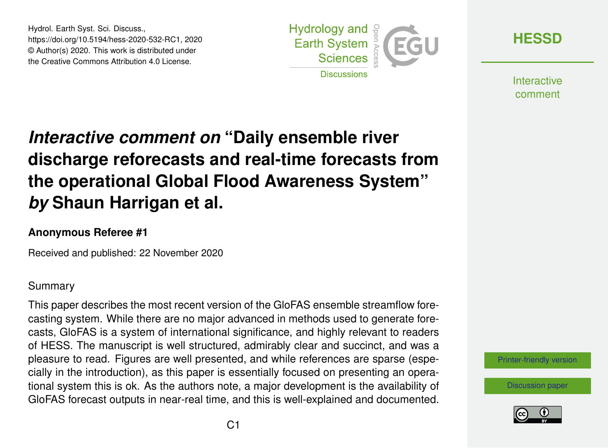Hydrol. Earth Syst. Sci. Discuss., https://doi.org/10.5194/hess-2020-532-RC1, 2020 © Author(s) 2020. This work is distributed under the Creative Commons Attribution 4.0 License.



**[HESSD](https://hess.copernicus.org/preprints/)**

**Interactive** comment

## *Interactive comment on* **"Daily ensemble river discharge reforecasts and real-time forecasts from the operational Global Flood Awareness System"** *by* **Shaun Harrigan et al.**

## **Anonymous Referee #1**

Received and published: 22 November 2020

## Summary

This paper describes the most recent version of the GloFAS ensemble streamflow forecasting system. While there are no major advanced in methods used to generate forecasts, GloFAS is a system of international significance, and highly relevant to readers of HESS. The manuscript is well structured, admirably clear and succinct, and was a pleasure to read. Figures are well presented, and while references are sparse (especially in the introduction), as this paper is essentially focused on presenting an operational system this is ok. As the authors note, a major development is the availability of GloFAS forecast outputs in near-real time, and this is well-explained and documented.

[Printer-friendly version](https://hess.copernicus.org/preprints/hess-2020-532/hess-2020-532-RC1-print.pdf)

[Discussion paper](https://hess.copernicus.org/preprints/hess-2020-532)

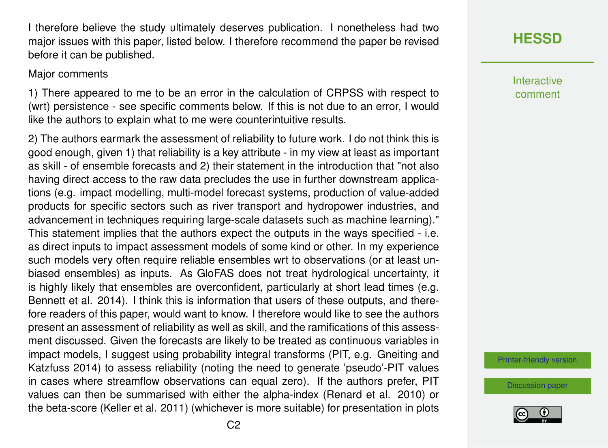I therefore believe the study ultimately deserves publication. I nonetheless had two major issues with this paper, listed below. I therefore recommend the paper be revised before it can be published.

## Major comments

1) There appeared to me to be an error in the calculation of CRPSS with respect to (wrt) persistence - see specific comments below. If this is not due to an error, I would like the authors to explain what to me were counterintuitive results.

2) The authors earmark the assessment of reliability to future work. I do not think this is good enough, given 1) that reliability is a key attribute - in my view at least as important as skill - of ensemble forecasts and 2) their statement in the introduction that "not also having direct access to the raw data precludes the use in further downstream applications (e.g. impact modelling, multi-model forecast systems, production of value-added products for specific sectors such as river transport and hydropower industries, and advancement in techniques requiring large-scale datasets such as machine learning)." This statement implies that the authors expect the outputs in the ways specified - i.e. as direct inputs to impact assessment models of some kind or other. In my experience such models very often require reliable ensembles wrt to observations (or at least unbiased ensembles) as inputs. As GloFAS does not treat hydrological uncertainty, it is highly likely that ensembles are overconfident, particularly at short lead times (e.g. Bennett et al. 2014). I think this is information that users of these outputs, and therefore readers of this paper, would want to know. I therefore would like to see the authors present an assessment of reliability as well as skill, and the ramifications of this assessment discussed. Given the forecasts are likely to be treated as continuous variables in impact models, I suggest using probability integral transforms (PIT, e.g. Gneiting and Katzfuss 2014) to assess reliability (noting the need to generate 'pseudo'-PIT values in cases where streamflow observations can equal zero). If the authors prefer, PIT values can then be summarised with either the alpha-index (Renard et al. 2010) or the beta-score (Keller et al. 2011) (whichever is more suitable) for presentation in plots **[HESSD](https://hess.copernicus.org/preprints/)**

**Interactive** comment

[Printer-friendly version](https://hess.copernicus.org/preprints/hess-2020-532/hess-2020-532-RC1-print.pdf)

[Discussion paper](https://hess.copernicus.org/preprints/hess-2020-532)

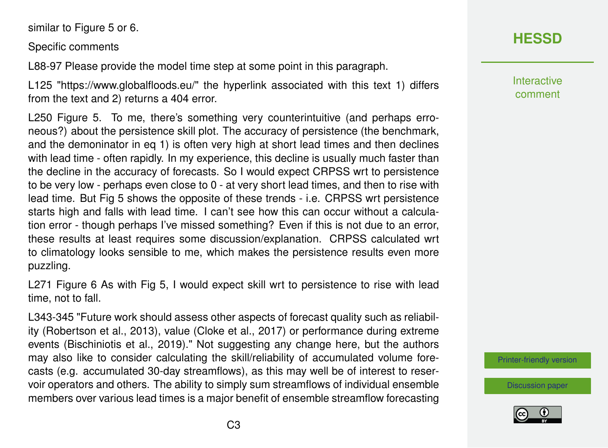similar to Figure 5 or 6.

Specific comments

L88-97 Please provide the model time step at some point in this paragraph.

L125 "https://www.globalfloods.eu/" the hyperlink associated with this text 1) differs from the text and 2) returns a 404 error.

L250 Figure 5. To me, there's something very counterintuitive (and perhaps erroneous?) about the persistence skill plot. The accuracy of persistence (the benchmark, and the demoninator in eq 1) is often very high at short lead times and then declines with lead time - often rapidly. In my experience, this decline is usually much faster than the decline in the accuracy of forecasts. So I would expect CRPSS wrt to persistence to be very low - perhaps even close to 0 - at very short lead times, and then to rise with lead time. But Fig 5 shows the opposite of these trends - i.e. CRPSS wrt persistence starts high and falls with lead time. I can't see how this can occur without a calculation error - though perhaps I've missed something? Even if this is not due to an error, these results at least requires some discussion/explanation. CRPSS calculated wrt to climatology looks sensible to me, which makes the persistence results even more puzzling.

L271 Figure 6 As with Fig 5, I would expect skill wrt to persistence to rise with lead time, not to fall.

L343-345 "Future work should assess other aspects of forecast quality such as reliability (Robertson et al., 2013), value (Cloke et al., 2017) or performance during extreme events (Bischiniotis et al., 2019)." Not suggesting any change here, but the authors may also like to consider calculating the skill/reliability of accumulated volume forecasts (e.g. accumulated 30-day streamflows), as this may well be of interest to reservoir operators and others. The ability to simply sum streamflows of individual ensemble members over various lead times is a major benefit of ensemble streamflow forecasting

Interactive comment

[Printer-friendly version](https://hess.copernicus.org/preprints/hess-2020-532/hess-2020-532-RC1-print.pdf)

[Discussion paper](https://hess.copernicus.org/preprints/hess-2020-532)